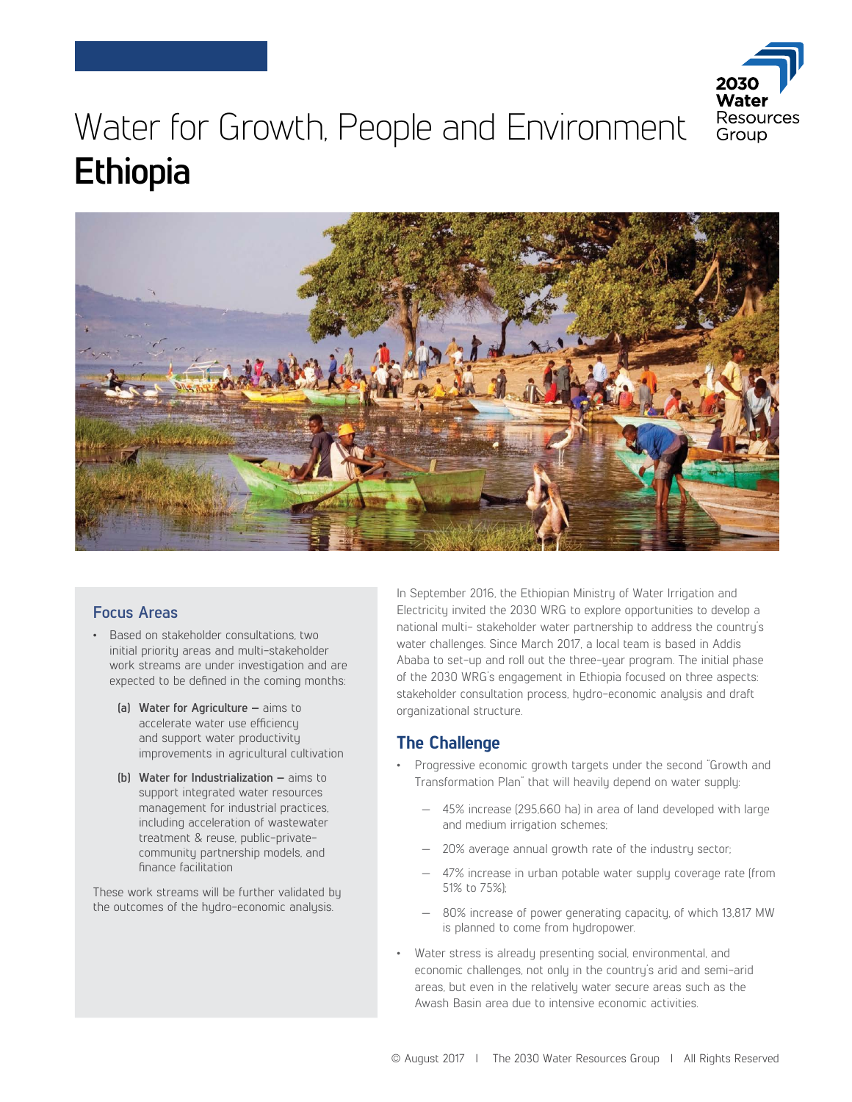

# Water for Growth, People and Environment **Ethiopia**



#### **Focus Areas**

- Based on stakeholder consultations, two initial priority areas and multi-stakeholder work streams are under investigation and are expected to be defined in the coming months:
	- **(a) Water for Agriculture** aims to accelerate water use efficiency and support water productivity improvements in agricultural cultivation
	- **(b) Water for Industrialization** aims to support integrated water resources management for industrial practices, including acceleration of wastewater treatment & reuse, public-privatecommunity partnership models, and finance facilitation

These work streams will be further validated by the outcomes of the hydro-economic analysis.

In September 2016, the Ethiopian Ministry of Water Irrigation and Electricity invited the 2030 WRG to explore opportunities to develop a national multi- stakeholder water partnership to address the country's water challenges. Since March 2017, a local team is based in Addis Ababa to set-up and roll out the three-year program. The initial phase of the 2030 WRG's engagement in Ethiopia focused on three aspects: stakeholder consultation process, hydro-economic analysis and draft organizational structure.

## **The Challenge**

- Progressive economic growth targets under the second "Growth and Transformation Plan" that will heavily depend on water supply:
	- 45% increase (295,660 ha) in area of land developed with large and medium irrigation schemes;
	- 20% average annual growth rate of the industry sector;
	- 47% increase in urban potable water supply coverage rate (from 51% to 75%);
	- 80% increase of power generating capacity, of which 13,817 MW is planned to come from hydropower.
- Water stress is already presenting social, environmental, and economic challenges, not only in the country's arid and semi-arid areas, but even in the relatively water secure areas such as the Awash Basin area due to intensive economic activities.